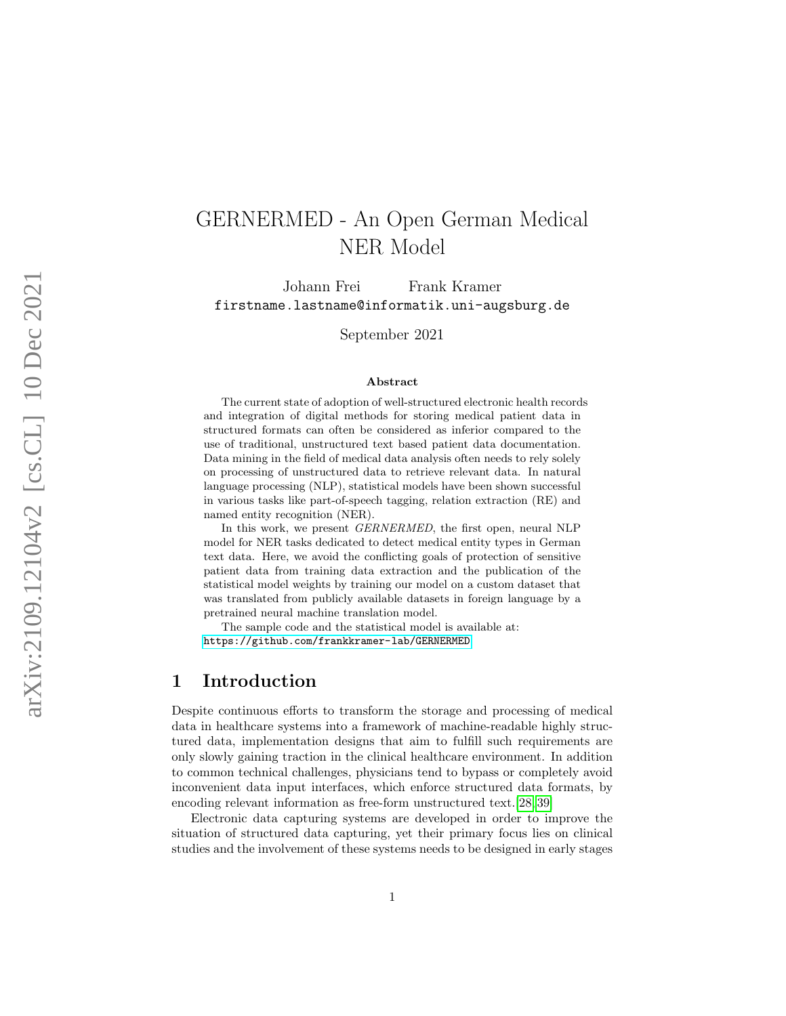# GERNERMED - An Open German Medical NER Model

Johann Frei Frank Kramer firstname.lastname@informatik.uni-augsburg.de

September 2021

#### Abstract

The current state of adoption of well-structured electronic health records and integration of digital methods for storing medical patient data in structured formats can often be considered as inferior compared to the use of traditional, unstructured text based patient data documentation. Data mining in the field of medical data analysis often needs to rely solely on processing of unstructured data to retrieve relevant data. In natural language processing (NLP), statistical models have been shown successful in various tasks like part-of-speech tagging, relation extraction (RE) and named entity recognition (NER).

In this work, we present GERNERMED, the first open, neural NLP model for NER tasks dedicated to detect medical entity types in German text data. Here, we avoid the conflicting goals of protection of sensitive patient data from training data extraction and the publication of the statistical model weights by training our model on a custom dataset that was translated from publicly available datasets in foreign language by a pretrained neural machine translation model.

The sample code and the statistical model is available at: <https://github.com/frankkramer-lab/GERNERMED>

## 1 Introduction

Despite continuous efforts to transform the storage and processing of medical data in healthcare systems into a framework of machine-readable highly structured data, implementation designs that aim to fulfill such requirements are only slowly gaining traction in the clinical healthcare environment. In addition to common technical challenges, physicians tend to bypass or completely avoid inconvenient data input interfaces, which enforce structured data formats, by encoding relevant information as free-form unstructured text.[\[28,](#page-11-0) [39\]](#page-13-0)

Electronic data capturing systems are developed in order to improve the situation of structured data capturing, yet their primary focus lies on clinical studies and the involvement of these systems needs to be designed in early stages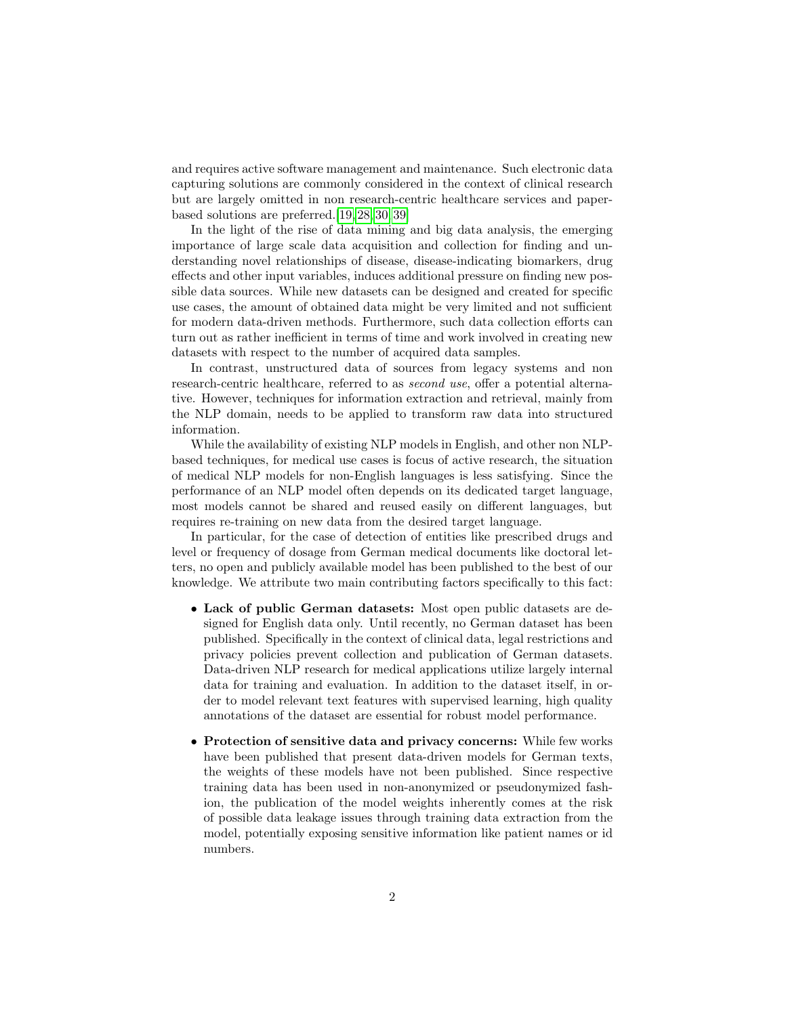and requires active software management and maintenance. Such electronic data capturing solutions are commonly considered in the context of clinical research but are largely omitted in non research-centric healthcare services and paperbased solutions are preferred.[\[19,](#page-11-1) [28,](#page-11-0) [30,](#page-12-0) [39\]](#page-13-0)

In the light of the rise of data mining and big data analysis, the emerging importance of large scale data acquisition and collection for finding and understanding novel relationships of disease, disease-indicating biomarkers, drug effects and other input variables, induces additional pressure on finding new possible data sources. While new datasets can be designed and created for specific use cases, the amount of obtained data might be very limited and not sufficient for modern data-driven methods. Furthermore, such data collection efforts can turn out as rather inefficient in terms of time and work involved in creating new datasets with respect to the number of acquired data samples.

In contrast, unstructured data of sources from legacy systems and non research-centric healthcare, referred to as *second use*, offer a potential alternative. However, techniques for information extraction and retrieval, mainly from the NLP domain, needs to be applied to transform raw data into structured information.

While the availability of existing NLP models in English, and other non NLPbased techniques, for medical use cases is focus of active research, the situation of medical NLP models for non-English languages is less satisfying. Since the performance of an NLP model often depends on its dedicated target language, most models cannot be shared and reused easily on different languages, but requires re-training on new data from the desired target language.

In particular, for the case of detection of entities like prescribed drugs and level or frequency of dosage from German medical documents like doctoral letters, no open and publicly available model has been published to the best of our knowledge. We attribute two main contributing factors specifically to this fact:

- Lack of public German datasets: Most open public datasets are designed for English data only. Until recently, no German dataset has been published. Specifically in the context of clinical data, legal restrictions and privacy policies prevent collection and publication of German datasets. Data-driven NLP research for medical applications utilize largely internal data for training and evaluation. In addition to the dataset itself, in order to model relevant text features with supervised learning, high quality annotations of the dataset are essential for robust model performance.
- Protection of sensitive data and privacy concerns: While few works have been published that present data-driven models for German texts, the weights of these models have not been published. Since respective training data has been used in non-anonymized or pseudonymized fashion, the publication of the model weights inherently comes at the risk of possible data leakage issues through training data extraction from the model, potentially exposing sensitive information like patient names or id numbers.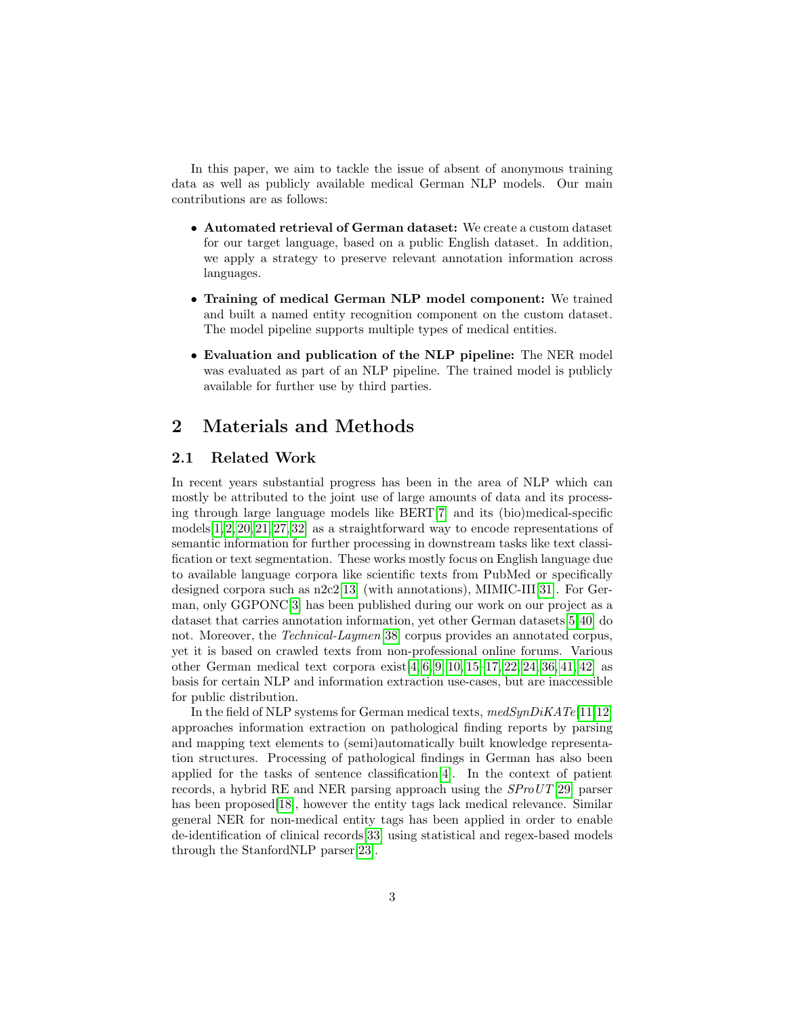In this paper, we aim to tackle the issue of absent of anonymous training data as well as publicly available medical German NLP models. Our main contributions are as follows:

- Automated retrieval of German dataset: We create a custom dataset for our target language, based on a public English dataset. In addition, we apply a strategy to preserve relevant annotation information across languages.
- Training of medical German NLP model component: We trained and built a named entity recognition component on the custom dataset. The model pipeline supports multiple types of medical entities.
- Evaluation and publication of the NLP pipeline: The NER model was evaluated as part of an NLP pipeline. The trained model is publicly available for further use by third parties.

## 2 Materials and Methods

#### 2.1 Related Work

In recent years substantial progress has been in the area of NLP which can mostly be attributed to the joint use of large amounts of data and its processing through large language models like BERT[\[7\]](#page-9-0) and its (bio)medical-specific models[\[1,](#page-9-1) [2,](#page-9-2) [20,](#page-11-2) [21,](#page-11-3) [27,](#page-11-4) [32\]](#page-12-1) as a straightforward way to encode representations of semantic information for further processing in downstream tasks like text classification or text segmentation. These works mostly focus on English language due to available language corpora like scientific texts from PubMed or specifically designed corpora such as n2c2[\[13\]](#page-10-0) (with annotations), MIMIC-III[\[31\]](#page-12-2). For German, only GGPONC[\[3\]](#page-9-3) has been published during our work on our project as a dataset that carries annotation information, yet other German datasets[\[5,](#page-9-4)[40\]](#page-13-1) do not. Moreover, the Technical-Laymen[\[38\]](#page-12-3) corpus provides an annotated corpus, yet it is based on crawled texts from non-professional online forums. Various other German medical text corpora exist $[4, 6, 9, 10, 15-17, 22, 24, 36, 41, 42]$  $[4, 6, 9, 10, 15-17, 22, 24, 36, 41, 42]$  $[4, 6, 9, 10, 15-17, 22, 24, 36, 41, 42]$  $[4, 6, 9, 10, 15-17, 22, 24, 36, 41, 42]$  $[4, 6, 9, 10, 15-17, 22, 24, 36, 41, 42]$  $[4, 6, 9, 10, 15-17, 22, 24, 36, 41, 42]$  $[4, 6, 9, 10, 15-17, 22, 24, 36, 41, 42]$  $[4, 6, 9, 10, 15-17, 22, 24, 36, 41, 42]$  $[4, 6, 9, 10, 15-17, 22, 24, 36, 41, 42]$  $[4, 6, 9, 10, 15-17, 22, 24, 36, 41, 42]$  $[4, 6, 9, 10, 15-17, 22, 24, 36, 41, 42]$  as basis for certain NLP and information extraction use-cases, but are inaccessible for public distribution.

In the field of NLP systems for German medical texts,  $medSynDiKATE[11,12]$  $medSynDiKATE[11,12]$  $medSynDiKATE[11,12]$ approaches information extraction on pathological finding reports by parsing and mapping text elements to (semi)automatically built knowledge representation structures. Processing of pathological findings in German has also been applied for the tasks of sentence classification[\[4\]](#page-9-5). In the context of patient records, a hybrid RE and NER parsing approach using the SProUT[\[29\]](#page-11-7) parser has been proposed<sup>[\[18\]](#page-10-7)</sup>, however the entity tags lack medical relevance. Similar general NER for non-medical entity tags has been applied in order to enable de-identification of clinical records[\[33\]](#page-12-5) using statistical and regex-based models through the StanfordNLP parser[\[23\]](#page-11-8).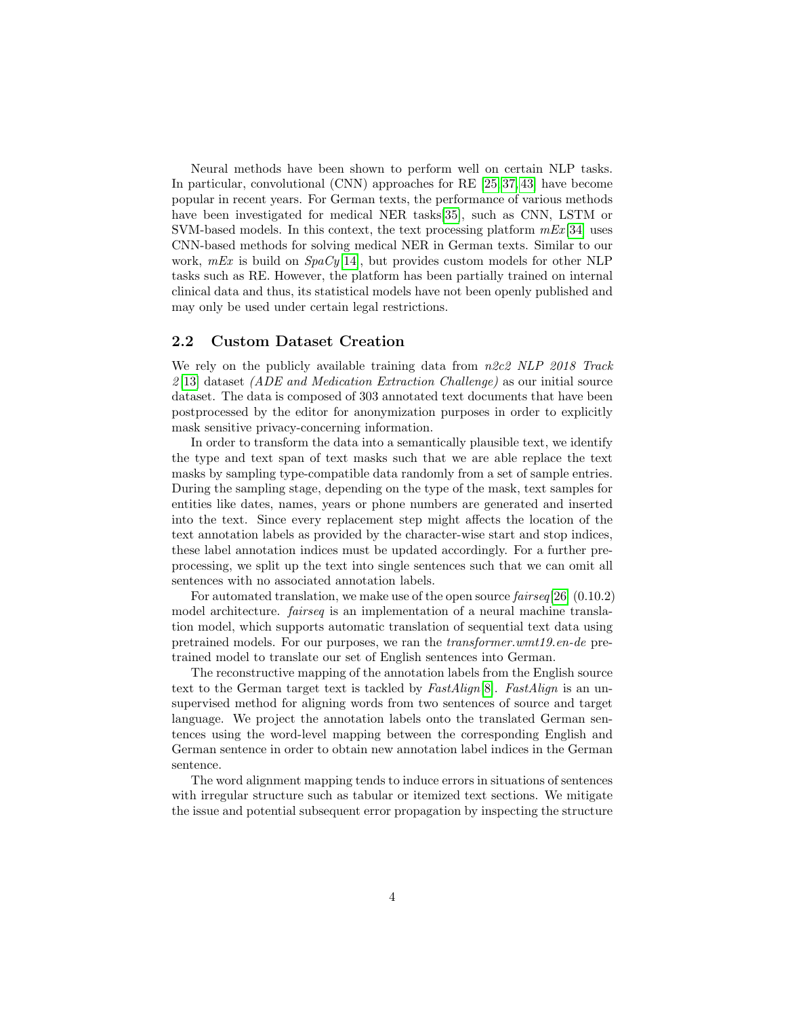Neural methods have been shown to perform well on certain NLP tasks. In particular, convolutional (CNN) approaches for RE [\[25,](#page-11-9) [37,](#page-12-6) [43\]](#page-13-4) have become popular in recent years. For German texts, the performance of various methods have been investigated for medical NER tasks[\[35\]](#page-12-7), such as CNN, LSTM or SVM-based models. In this context, the text processing platform  $mEx$  [\[34\]](#page-12-8) uses CNN-based methods for solving medical NER in German texts. Similar to our work,  $mEx$  is build on  $SpaCy[14]$  $SpaCy[14]$ , but provides custom models for other NLP tasks such as RE. However, the platform has been partially trained on internal clinical data and thus, its statistical models have not been openly published and may only be used under certain legal restrictions.

#### 2.2 Custom Dataset Creation

We rely on the publicly available training data from  $n2c2$  NLP 2018 Track  $2[13]$  $2[13]$  dataset (ADE and Medication Extraction Challenge) as our initial source dataset. The data is composed of 303 annotated text documents that have been postprocessed by the editor for anonymization purposes in order to explicitly mask sensitive privacy-concerning information.

In order to transform the data into a semantically plausible text, we identify the type and text span of text masks such that we are able replace the text masks by sampling type-compatible data randomly from a set of sample entries. During the sampling stage, depending on the type of the mask, text samples for entities like dates, names, years or phone numbers are generated and inserted into the text. Since every replacement step might affects the location of the text annotation labels as provided by the character-wise start and stop indices, these label annotation indices must be updated accordingly. For a further preprocessing, we split up the text into single sentences such that we can omit all sentences with no associated annotation labels.

For automated translation, we make use of the open source *fairseq*[\[26\]](#page-11-10) (0.10.2) model architecture. *fairseq* is an implementation of a neural machine translation model, which supports automatic translation of sequential text data using pretrained models. For our purposes, we ran the transformer.wmt19.en-de pretrained model to translate our set of English sentences into German.

The reconstructive mapping of the annotation labels from the English source text to the German target text is tackled by  $FastAliqn[8]$  $FastAliqn[8]$ . FastAlign is an unsupervised method for aligning words from two sentences of source and target language. We project the annotation labels onto the translated German sentences using the word-level mapping between the corresponding English and German sentence in order to obtain new annotation label indices in the German sentence.

The word alignment mapping tends to induce errors in situations of sentences with irregular structure such as tabular or itemized text sections. We mitigate the issue and potential subsequent error propagation by inspecting the structure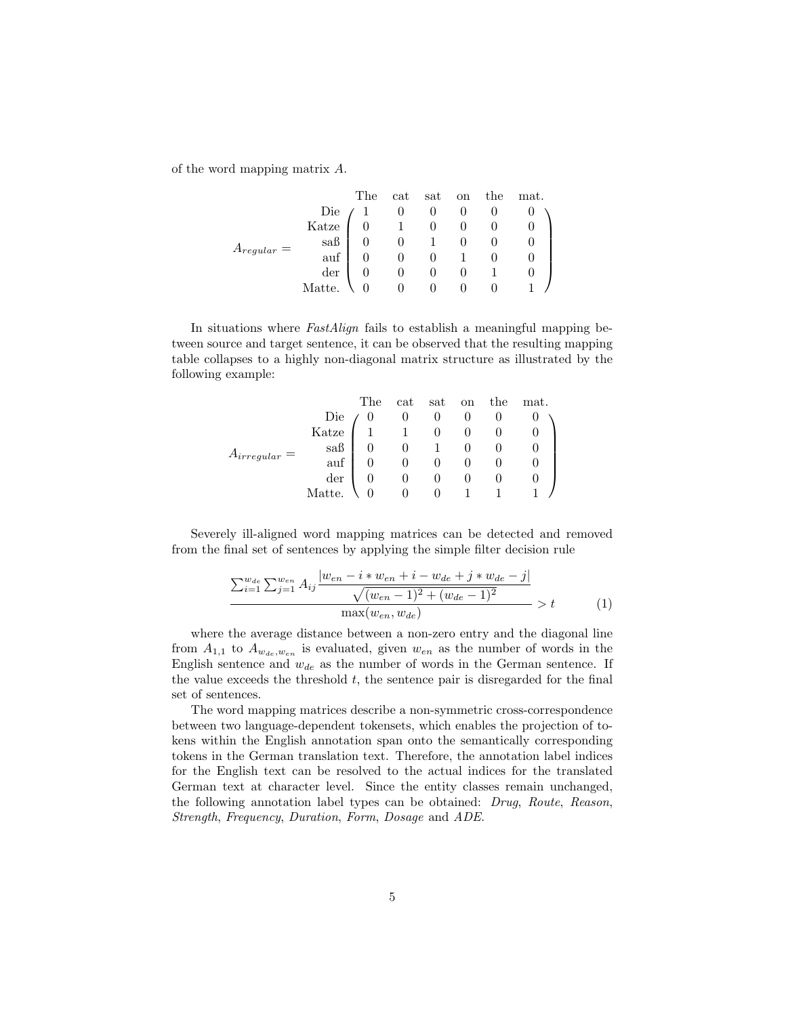of the word mapping matrix A.

|                 |                                            | The |          |                                     |  | cat sat on the mat. |
|-----------------|--------------------------------------------|-----|----------|-------------------------------------|--|---------------------|
| $A_{regular} =$ |                                            |     |          |                                     |  |                     |
|                 | Die $\begin{pmatrix} 1 \\ 0 \end{pmatrix}$ |     |          |                                     |  |                     |
|                 | $s$ aß                                     |     |          |                                     |  |                     |
|                 | $\overline{\text{aut}}$ .                  |     |          |                                     |  |                     |
|                 | der                                        |     |          |                                     |  |                     |
|                 | Matte.                                     |     | $\Omega$ | $\begin{matrix} 0 & 0 \end{matrix}$ |  |                     |

In situations where FastAlign fails to establish a meaningful mapping between source and target sentence, it can be observed that the resulting mapping table collapses to a highly non-diagonal matrix structure as illustrated by the following example:

|                   |                             | The      |                                                          |  | cat sat on the mat. |
|-------------------|-----------------------------|----------|----------------------------------------------------------|--|---------------------|
| $A_{irregular} =$ | $\frac{Die}{Katze}$         | $\theta$ |                                                          |  |                     |
|                   |                             |          | $\begin{array}{cccc} 0 & 0 & 0 \\ 1 & 0 & 0 \end{array}$ |  |                     |
|                   | $\mathrm{sa}\mathrm{B}$     |          | $1 \qquad 0$                                             |  |                     |
|                   | auf                         |          |                                                          |  |                     |
|                   | $\mathop{\rm der}\nolimits$ |          | $\begin{matrix} 0&0\\0&0 \end{matrix}$                   |  |                     |
|                   | Matte.                      |          | $\theta$                                                 |  |                     |

Severely ill-aligned word mapping matrices can be detected and removed from the final set of sentences by applying the simple filter decision rule

$$
\frac{\sum_{i=1}^{w_{de}} \sum_{j=1}^{w_{en}} A_{ij} \frac{|w_{en} - i * w_{en} + i - w_{de} + j * w_{de} - j|}{\sqrt{(w_{en} - 1)^2 + (w_{de} - 1)^2}}}{\max(w_{en}, w_{de})} > t
$$
(1)

where the average distance between a non-zero entry and the diagonal line from  $A_{1,1}$  to  $A_{w_{de},w_{en}}$  is evaluated, given  $w_{en}$  as the number of words in the English sentence and  $w_{de}$  as the number of words in the German sentence. If the value exceeds the threshold  $t$ , the sentence pair is disregarded for the final set of sentences.

The word mapping matrices describe a non-symmetric cross-correspondence between two language-dependent tokensets, which enables the projection of tokens within the English annotation span onto the semantically corresponding tokens in the German translation text. Therefore, the annotation label indices for the English text can be resolved to the actual indices for the translated German text at character level. Since the entity classes remain unchanged, the following annotation label types can be obtained: Drug, Route, Reason, Strength, Frequency, Duration, Form, Dosage and ADE.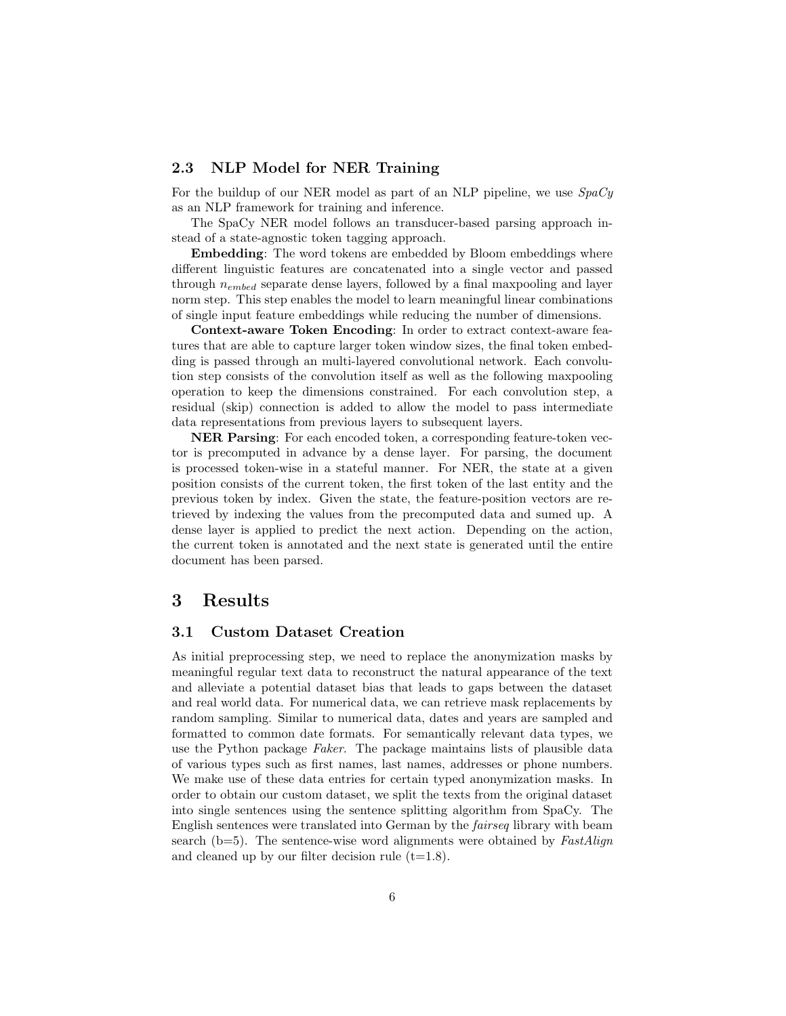#### 2.3 NLP Model for NER Training

For the buildup of our NER model as part of an NLP pipeline, we use  $SpaCy$ as an NLP framework for training and inference.

The SpaCy NER model follows an transducer-based parsing approach instead of a state-agnostic token tagging approach.

Embedding: The word tokens are embedded by Bloom embeddings where different linguistic features are concatenated into a single vector and passed through nembed separate dense layers, followed by a final maxpooling and layer norm step. This step enables the model to learn meaningful linear combinations of single input feature embeddings while reducing the number of dimensions.

Context-aware Token Encoding: In order to extract context-aware features that are able to capture larger token window sizes, the final token embedding is passed through an multi-layered convolutional network. Each convolution step consists of the convolution itself as well as the following maxpooling operation to keep the dimensions constrained. For each convolution step, a residual (skip) connection is added to allow the model to pass intermediate data representations from previous layers to subsequent layers.

NER Parsing: For each encoded token, a corresponding feature-token vector is precomputed in advance by a dense layer. For parsing, the document is processed token-wise in a stateful manner. For NER, the state at a given position consists of the current token, the first token of the last entity and the previous token by index. Given the state, the feature-position vectors are retrieved by indexing the values from the precomputed data and sumed up. A dense layer is applied to predict the next action. Depending on the action, the current token is annotated and the next state is generated until the entire document has been parsed.

## 3 Results

#### 3.1 Custom Dataset Creation

As initial preprocessing step, we need to replace the anonymization masks by meaningful regular text data to reconstruct the natural appearance of the text and alleviate a potential dataset bias that leads to gaps between the dataset and real world data. For numerical data, we can retrieve mask replacements by random sampling. Similar to numerical data, dates and years are sampled and formatted to common date formats. For semantically relevant data types, we use the Python package Faker. The package maintains lists of plausible data of various types such as first names, last names, addresses or phone numbers. We make use of these data entries for certain typed anonymization masks. In order to obtain our custom dataset, we split the texts from the original dataset into single sentences using the sentence splitting algorithm from SpaCy. The English sentences were translated into German by the fairseq library with beam search ( $b=5$ ). The sentence-wise word alignments were obtained by FastAlign and cleaned up by our filter decision rule  $(t=1.8)$ .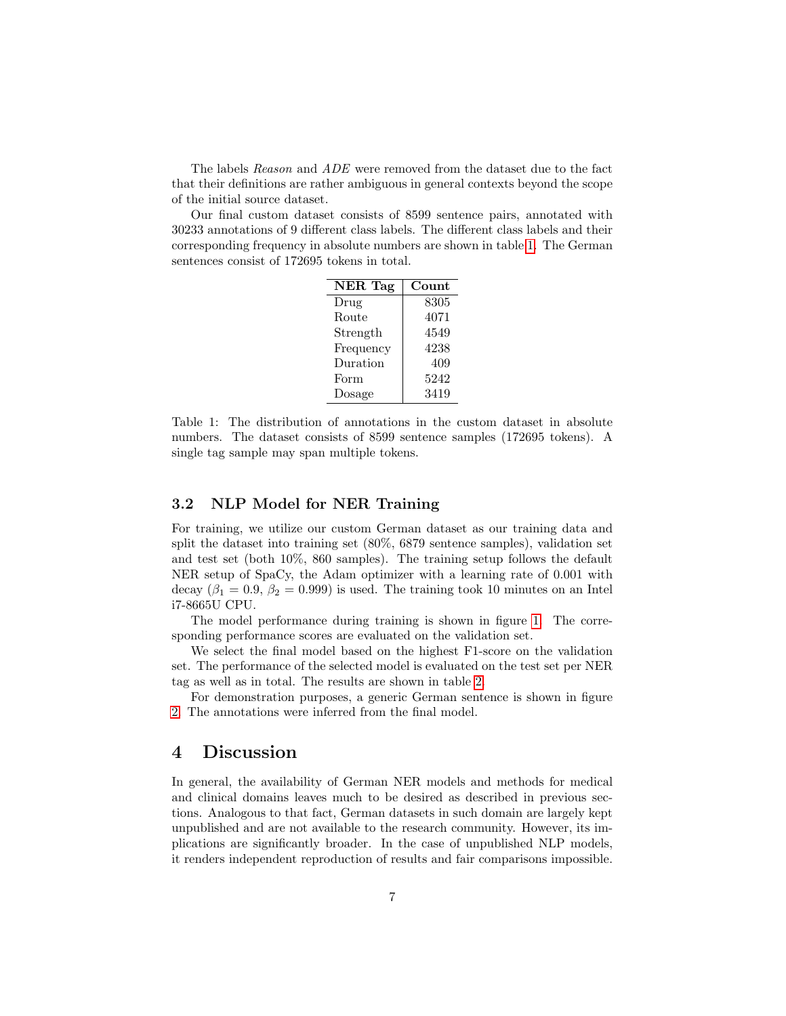The labels Reason and ADE were removed from the dataset due to the fact that their definitions are rather ambiguous in general contexts beyond the scope of the initial source dataset.

Our final custom dataset consists of 8599 sentence pairs, annotated with 30233 annotations of 9 different class labels. The different class labels and their corresponding frequency in absolute numbers are shown in table [1.](#page-6-0) The German sentences consist of 172695 tokens in total.

| <b>NER</b> Tag | Count |
|----------------|-------|
| Drug           | 8305  |
| Route          | 4071  |
| Strength       | 4549  |
| Frequency      | 4238  |
| Duration       | 409   |
| Form           | 5242  |
| Dosage         | 3419  |

<span id="page-6-0"></span>Table 1: The distribution of annotations in the custom dataset in absolute numbers. The dataset consists of 8599 sentence samples (172695 tokens). A single tag sample may span multiple tokens.

#### 3.2 NLP Model for NER Training

For training, we utilize our custom German dataset as our training data and split the dataset into training set (80%, 6879 sentence samples), validation set and test set (both 10%, 860 samples). The training setup follows the default NER setup of SpaCy, the Adam optimizer with a learning rate of 0.001 with decay ( $\beta_1 = 0.9$ ,  $\beta_2 = 0.999$ ) is used. The training took 10 minutes on an Intel i7-8665U CPU.

The model performance during training is shown in figure [1.](#page-7-0) The corresponding performance scores are evaluated on the validation set.

We select the final model based on the highest F1-score on the validation set. The performance of the selected model is evaluated on the test set per NER tag as well as in total. The results are shown in table [2.](#page-7-1)

For demonstration purposes, a generic German sentence is shown in figure [2.](#page-8-0) The annotations were inferred from the final model.

#### 4 Discussion

In general, the availability of German NER models and methods for medical and clinical domains leaves much to be desired as described in previous sections. Analogous to that fact, German datasets in such domain are largely kept unpublished and are not available to the research community. However, its implications are significantly broader. In the case of unpublished NLP models, it renders independent reproduction of results and fair comparisons impossible.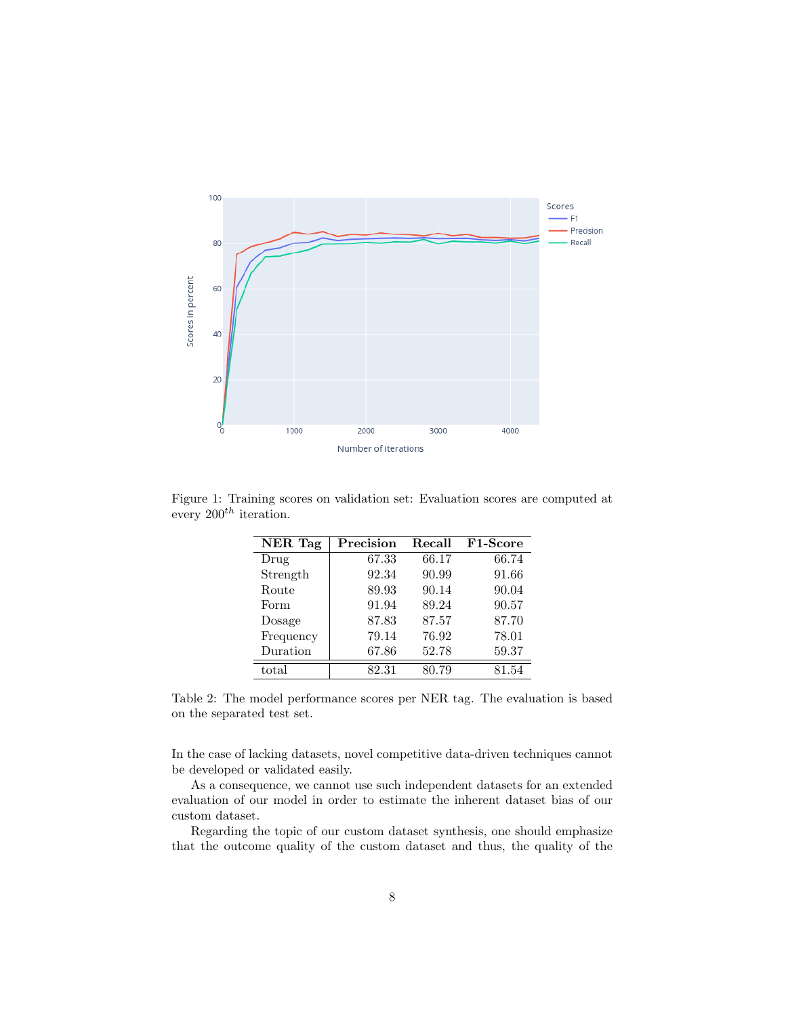

Figure 1: Training scores on validation set: Evaluation scores are computed at every  $200^{th}$  iteration.

<span id="page-7-0"></span>

| NER Tag   | Precision | Recall | F1-Score |
|-----------|-----------|--------|----------|
| Drug      | 67.33     | 66.17  | 66.74    |
| Strength  | 92.34     | 90.99  | 91.66    |
| Route     | 89.93     | 90.14  | 90.04    |
| Form      | 91.94     | 89.24  | 90.57    |
| Dosage    | 87.83     | 87.57  | 87.70    |
| Frequency | 79.14     | 76.92  | 78.01    |
| Duration  | 67.86     | 52.78  | 59.37    |
| total     | 82.31     | 80.79  | 81.54    |

<span id="page-7-1"></span>Table 2: The model performance scores per NER tag. The evaluation is based on the separated test set.

In the case of lacking datasets, novel competitive data-driven techniques cannot be developed or validated easily.

As a consequence, we cannot use such independent datasets for an extended evaluation of our model in order to estimate the inherent dataset bias of our custom dataset.

Regarding the topic of our custom dataset synthesis, one should emphasize that the outcome quality of the custom dataset and thus, the quality of the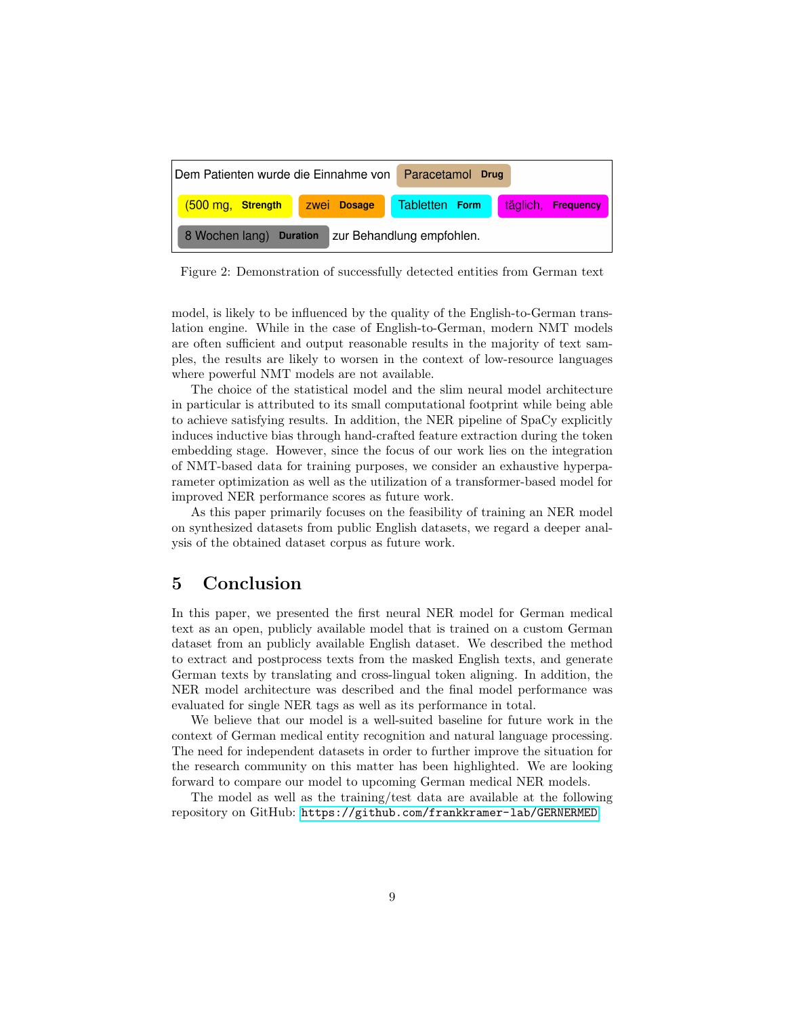| Dem Patienten wurde die Einnahme von Paracetamol Drug |  |                              |          |                  |  |  |
|-------------------------------------------------------|--|------------------------------|----------|------------------|--|--|
| (500 mg, Strength                                     |  | zwei Dosage   Tabletten Form | täglich, | <b>Frequency</b> |  |  |
| zur Behandlung empfohlen.<br>8 Wochen lang) Duration  |  |                              |          |                  |  |  |

<span id="page-8-0"></span>Figure 2: Demonstration of successfully detected entities from German text

model, is likely to be influenced by the quality of the English-to-German translation engine. While in the case of English-to-German, modern NMT models are often sufficient and output reasonable results in the majority of text samples, the results are likely to worsen in the context of low-resource languages where powerful NMT models are not available.

The choice of the statistical model and the slim neural model architecture in particular is attributed to its small computational footprint while being able to achieve satisfying results. In addition, the NER pipeline of SpaCy explicitly induces inductive bias through hand-crafted feature extraction during the token embedding stage. However, since the focus of our work lies on the integration of NMT-based data for training purposes, we consider an exhaustive hyperparameter optimization as well as the utilization of a transformer-based model for improved NER performance scores as future work.

As this paper primarily focuses on the feasibility of training an NER model on synthesized datasets from public English datasets, we regard a deeper analysis of the obtained dataset corpus as future work.

## 5 Conclusion

In this paper, we presented the first neural NER model for German medical text as an open, publicly available model that is trained on a custom German dataset from an publicly available English dataset. We described the method to extract and postprocess texts from the masked English texts, and generate German texts by translating and cross-lingual token aligning. In addition, the NER model architecture was described and the final model performance was evaluated for single NER tags as well as its performance in total.

We believe that our model is a well-suited baseline for future work in the context of German medical entity recognition and natural language processing. The need for independent datasets in order to further improve the situation for the research community on this matter has been highlighted. We are looking forward to compare our model to upcoming German medical NER models.

The model as well as the training/test data are available at the following repository on GitHub: <https://github.com/frankkramer-lab/GERNERMED>.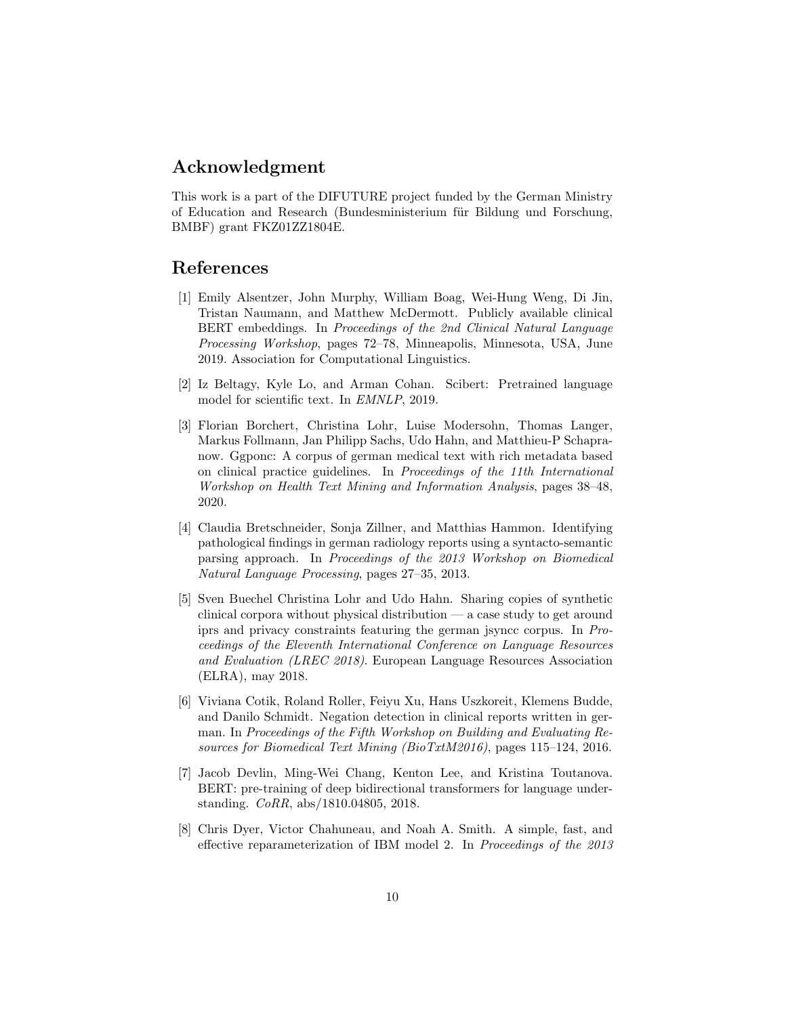## Acknowledgment

This work is a part of the DIFUTURE project funded by the German Ministry of Education and Research (Bundesministerium für Bildung und Forschung, BMBF) grant FKZ01ZZ1804E.

### References

- <span id="page-9-1"></span>[1] Emily Alsentzer, John Murphy, William Boag, Wei-Hung Weng, Di Jin, Tristan Naumann, and Matthew McDermott. Publicly available clinical BERT embeddings. In Proceedings of the 2nd Clinical Natural Language Processing Workshop, pages 72–78, Minneapolis, Minnesota, USA, June 2019. Association for Computational Linguistics.
- <span id="page-9-2"></span>[2] Iz Beltagy, Kyle Lo, and Arman Cohan. Scibert: Pretrained language model for scientific text. In EMNLP, 2019.
- <span id="page-9-3"></span>[3] Florian Borchert, Christina Lohr, Luise Modersohn, Thomas Langer, Markus Follmann, Jan Philipp Sachs, Udo Hahn, and Matthieu-P Schapranow. Ggponc: A corpus of german medical text with rich metadata based on clinical practice guidelines. In Proceedings of the 11th International Workshop on Health Text Mining and Information Analysis, pages 38–48, 2020.
- <span id="page-9-5"></span>[4] Claudia Bretschneider, Sonja Zillner, and Matthias Hammon. Identifying pathological findings in german radiology reports using a syntacto-semantic parsing approach. In Proceedings of the 2013 Workshop on Biomedical Natural Language Processing, pages 27–35, 2013.
- <span id="page-9-4"></span>[5] Sven Buechel Christina Lohr and Udo Hahn. Sharing copies of synthetic clinical corpora without physical distribution — a case study to get around iprs and privacy constraints featuring the german jsyncc corpus. In Proceedings of the Eleventh International Conference on Language Resources and Evaluation (LREC 2018). European Language Resources Association (ELRA), may 2018.
- <span id="page-9-6"></span>[6] Viviana Cotik, Roland Roller, Feiyu Xu, Hans Uszkoreit, Klemens Budde, and Danilo Schmidt. Negation detection in clinical reports written in german. In Proceedings of the Fifth Workshop on Building and Evaluating Resources for Biomedical Text Mining (BioTxtM2016), pages 115–124, 2016.
- <span id="page-9-0"></span>[7] Jacob Devlin, Ming-Wei Chang, Kenton Lee, and Kristina Toutanova. BERT: pre-training of deep bidirectional transformers for language understanding. CoRR, abs/1810.04805, 2018.
- <span id="page-9-7"></span>[8] Chris Dyer, Victor Chahuneau, and Noah A. Smith. A simple, fast, and effective reparameterization of IBM model 2. In Proceedings of the 2013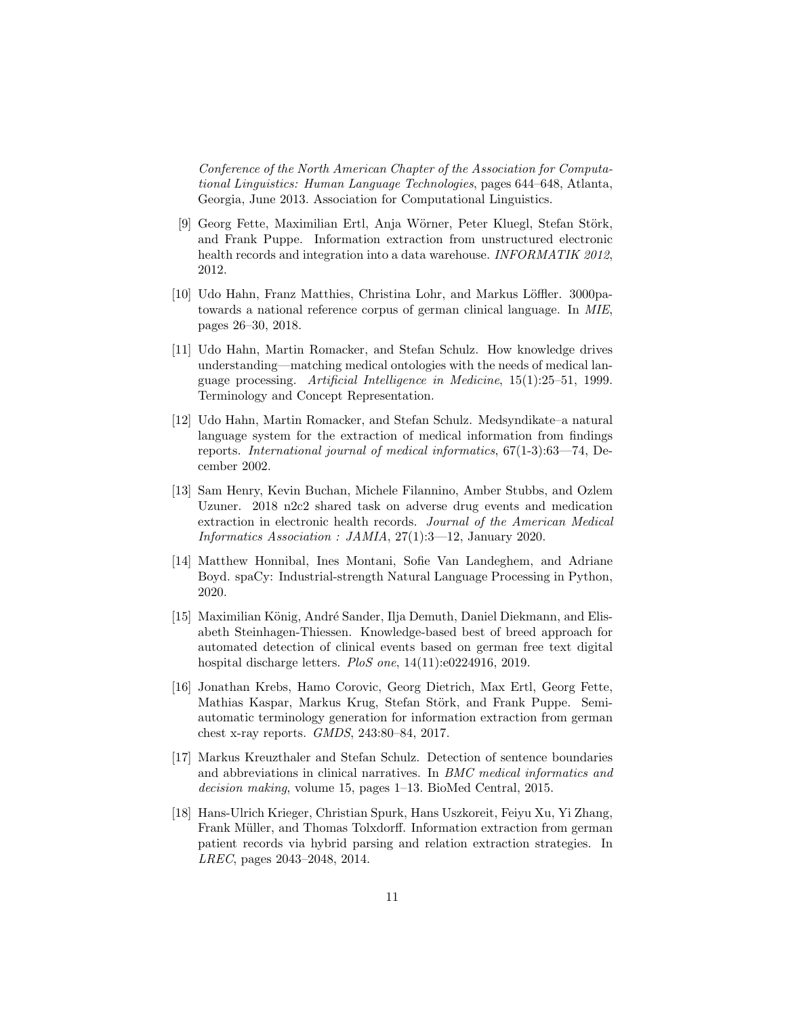Conference of the North American Chapter of the Association for Computational Linguistics: Human Language Technologies, pages 644–648, Atlanta, Georgia, June 2013. Association for Computational Linguistics.

- <span id="page-10-1"></span>[9] Georg Fette, Maximilian Ertl, Anja Wörner, Peter Kluegl, Stefan Störk, and Frank Puppe. Information extraction from unstructured electronic health records and integration into a data warehouse. INFORMATIK 2012, 2012.
- <span id="page-10-2"></span>[10] Udo Hahn, Franz Matthies, Christina Lohr, and Markus Löffler. 3000patowards a national reference corpus of german clinical language. In MIE, pages 26–30, 2018.
- <span id="page-10-5"></span>[11] Udo Hahn, Martin Romacker, and Stefan Schulz. How knowledge drives understanding—matching medical ontologies with the needs of medical language processing. Artificial Intelligence in Medicine, 15(1):25–51, 1999. Terminology and Concept Representation.
- <span id="page-10-6"></span>[12] Udo Hahn, Martin Romacker, and Stefan Schulz. Medsyndikate–a natural language system for the extraction of medical information from findings reports. International journal of medical informatics, 67(1-3):63—74, December 2002.
- <span id="page-10-0"></span>[13] Sam Henry, Kevin Buchan, Michele Filannino, Amber Stubbs, and Ozlem Uzuner. 2018 n2c2 shared task on adverse drug events and medication extraction in electronic health records. Journal of the American Medical Informatics Association : JAMIA, 27(1):3—12, January 2020.
- <span id="page-10-8"></span>[14] Matthew Honnibal, Ines Montani, Sofie Van Landeghem, and Adriane Boyd. spaCy: Industrial-strength Natural Language Processing in Python, 2020.
- <span id="page-10-3"></span>[15] Maximilian König, André Sander, Ilja Demuth, Daniel Diekmann, and Elisabeth Steinhagen-Thiessen. Knowledge-based best of breed approach for automated detection of clinical events based on german free text digital hospital discharge letters. PloS one, 14(11):e0224916, 2019.
- [16] Jonathan Krebs, Hamo Corovic, Georg Dietrich, Max Ertl, Georg Fette, Mathias Kaspar, Markus Krug, Stefan Störk, and Frank Puppe. Semiautomatic terminology generation for information extraction from german chest x-ray reports. GMDS, 243:80–84, 2017.
- <span id="page-10-4"></span>[17] Markus Kreuzthaler and Stefan Schulz. Detection of sentence boundaries and abbreviations in clinical narratives. In BMC medical informatics and decision making, volume 15, pages 1–13. BioMed Central, 2015.
- <span id="page-10-7"></span>[18] Hans-Ulrich Krieger, Christian Spurk, Hans Uszkoreit, Feiyu Xu, Yi Zhang, Frank Müller, and Thomas Tolxdorff. Information extraction from german patient records via hybrid parsing and relation extraction strategies. In LREC, pages 2043–2048, 2014.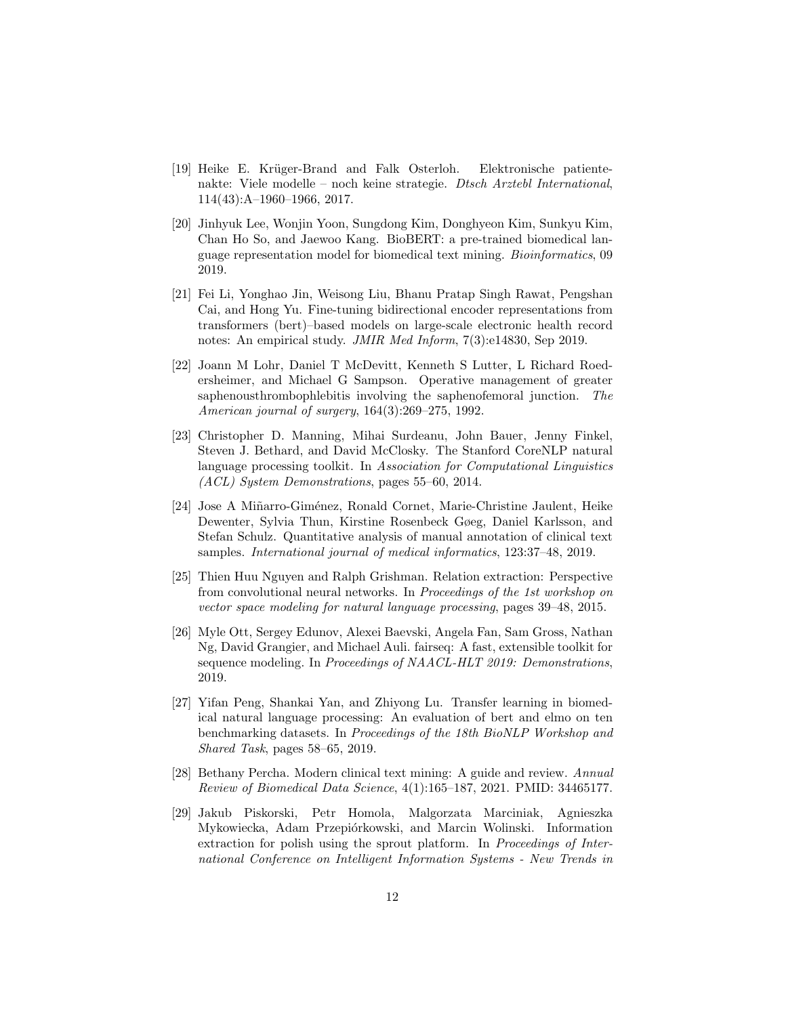- <span id="page-11-1"></span>[19] Heike E. Kr¨uger-Brand and Falk Osterloh. Elektronische patientenakte: Viele modelle – noch keine strategie. Dtsch Arztebl International, 114(43):A–1960–1966, 2017.
- <span id="page-11-2"></span>[20] Jinhyuk Lee, Wonjin Yoon, Sungdong Kim, Donghyeon Kim, Sunkyu Kim, Chan Ho So, and Jaewoo Kang. BioBERT: a pre-trained biomedical language representation model for biomedical text mining. Bioinformatics, 09 2019.
- <span id="page-11-3"></span>[21] Fei Li, Yonghao Jin, Weisong Liu, Bhanu Pratap Singh Rawat, Pengshan Cai, and Hong Yu. Fine-tuning bidirectional encoder representations from transformers (bert)–based models on large-scale electronic health record notes: An empirical study. JMIR Med Inform, 7(3):e14830, Sep 2019.
- <span id="page-11-5"></span>[22] Joann M Lohr, Daniel T McDevitt, Kenneth S Lutter, L Richard Roedersheimer, and Michael G Sampson. Operative management of greater saphenousthrombophlebitis involving the saphenofemoral junction. The American journal of surgery, 164(3):269–275, 1992.
- <span id="page-11-8"></span>[23] Christopher D. Manning, Mihai Surdeanu, John Bauer, Jenny Finkel, Steven J. Bethard, and David McClosky. The Stanford CoreNLP natural language processing toolkit. In Association for Computational Linguistics (ACL) System Demonstrations, pages 55–60, 2014.
- <span id="page-11-6"></span>[24] Jose A Miñarro-Giménez, Ronald Cornet, Marie-Christine Jaulent, Heike Dewenter, Sylvia Thun, Kirstine Rosenbeck Gøeg, Daniel Karlsson, and Stefan Schulz. Quantitative analysis of manual annotation of clinical text samples. International journal of medical informatics, 123:37–48, 2019.
- <span id="page-11-9"></span>[25] Thien Huu Nguyen and Ralph Grishman. Relation extraction: Perspective from convolutional neural networks. In Proceedings of the 1st workshop on vector space modeling for natural language processing, pages 39–48, 2015.
- <span id="page-11-10"></span>[26] Myle Ott, Sergey Edunov, Alexei Baevski, Angela Fan, Sam Gross, Nathan Ng, David Grangier, and Michael Auli. fairseq: A fast, extensible toolkit for sequence modeling. In Proceedings of NAACL-HLT 2019: Demonstrations, 2019.
- <span id="page-11-4"></span>[27] Yifan Peng, Shankai Yan, and Zhiyong Lu. Transfer learning in biomedical natural language processing: An evaluation of bert and elmo on ten benchmarking datasets. In Proceedings of the 18th BioNLP Workshop and Shared Task, pages 58–65, 2019.
- <span id="page-11-0"></span>[28] Bethany Percha. Modern clinical text mining: A guide and review. Annual Review of Biomedical Data Science, 4(1):165–187, 2021. PMID: 34465177.
- <span id="page-11-7"></span>[29] Jakub Piskorski, Petr Homola, Malgorzata Marciniak, Agnieszka Mykowiecka, Adam Przepiórkowski, and Marcin Wolinski. Information extraction for polish using the sprout platform. In Proceedings of International Conference on Intelligent Information Systems - New Trends in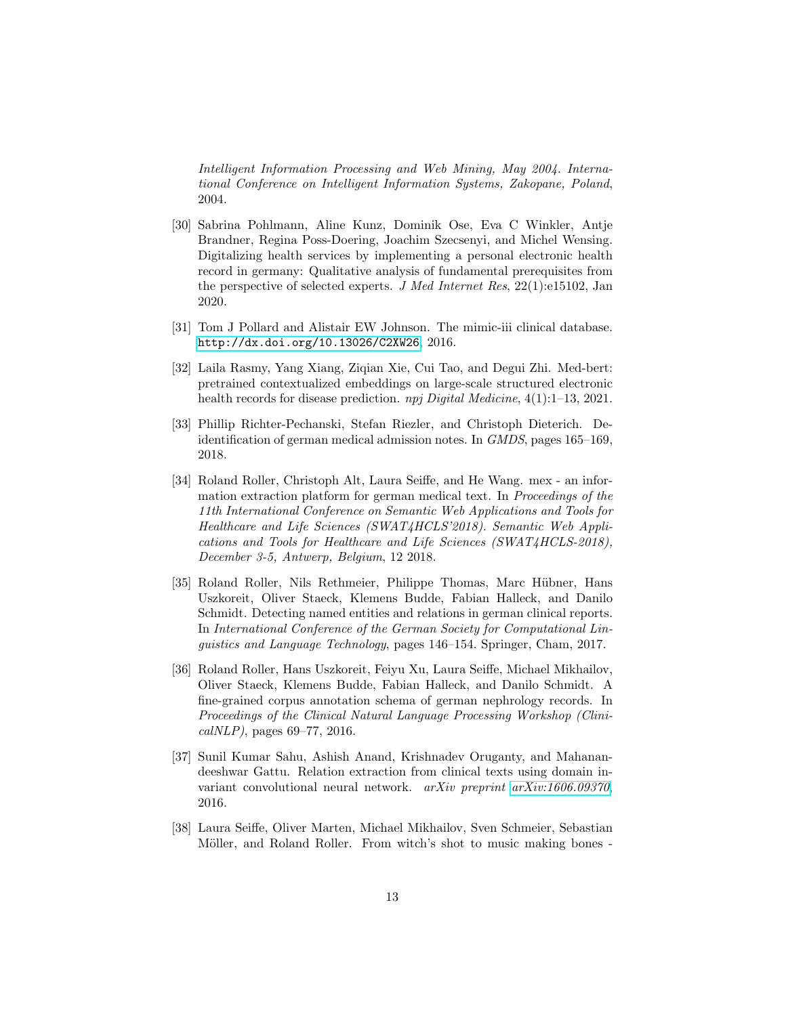Intelligent Information Processing and Web Mining, May 2004. International Conference on Intelligent Information Systems, Zakopane, Poland, 2004.

- <span id="page-12-0"></span>[30] Sabrina Pohlmann, Aline Kunz, Dominik Ose, Eva C Winkler, Antje Brandner, Regina Poss-Doering, Joachim Szecsenyi, and Michel Wensing. Digitalizing health services by implementing a personal electronic health record in germany: Qualitative analysis of fundamental prerequisites from the perspective of selected experts. J Med Internet Res, 22(1):e15102, Jan 2020.
- <span id="page-12-2"></span>[31] Tom J Pollard and Alistair EW Johnson. The mimic-iii clinical database. <http://dx.doi.org/10.13026/C2XW26>, 2016.
- <span id="page-12-1"></span>[32] Laila Rasmy, Yang Xiang, Ziqian Xie, Cui Tao, and Degui Zhi. Med-bert: pretrained contextualized embeddings on large-scale structured electronic health records for disease prediction. *npj Digital Medicine*,  $4(1):1-13$ , 2021.
- <span id="page-12-5"></span>[33] Phillip Richter-Pechanski, Stefan Riezler, and Christoph Dieterich. Deidentification of german medical admission notes. In GMDS, pages 165–169, 2018.
- <span id="page-12-8"></span>[34] Roland Roller, Christoph Alt, Laura Seiffe, and He Wang. mex - an information extraction platform for german medical text. In Proceedings of the 11th International Conference on Semantic Web Applications and Tools for Healthcare and Life Sciences (SWAT4HCLS'2018). Semantic Web Applications and Tools for Healthcare and Life Sciences (SWAT4HCLS-2018), December 3-5, Antwerp, Belgium, 12 2018.
- <span id="page-12-7"></span>[35] Roland Roller, Nils Rethmeier, Philippe Thomas, Marc Hübner, Hans Uszkoreit, Oliver Staeck, Klemens Budde, Fabian Halleck, and Danilo Schmidt. Detecting named entities and relations in german clinical reports. In International Conference of the German Society for Computational Linguistics and Language Technology, pages 146–154. Springer, Cham, 2017.
- <span id="page-12-4"></span>[36] Roland Roller, Hans Uszkoreit, Feiyu Xu, Laura Seiffe, Michael Mikhailov, Oliver Staeck, Klemens Budde, Fabian Halleck, and Danilo Schmidt. A fine-grained corpus annotation schema of german nephrology records. In Proceedings of the Clinical Natural Language Processing Workshop (Clini $calNLP$ , pages 69–77, 2016.
- <span id="page-12-6"></span>[37] Sunil Kumar Sahu, Ashish Anand, Krishnadev Oruganty, and Mahanandeeshwar Gattu. Relation extraction from clinical texts using domain invariant convolutional neural network. arXiv preprint [arXiv:1606.09370](http://arxiv.org/abs/1606.09370), 2016.
- <span id="page-12-3"></span>[38] Laura Seiffe, Oliver Marten, Michael Mikhailov, Sven Schmeier, Sebastian Möller, and Roland Roller. From witch's shot to music making bones -